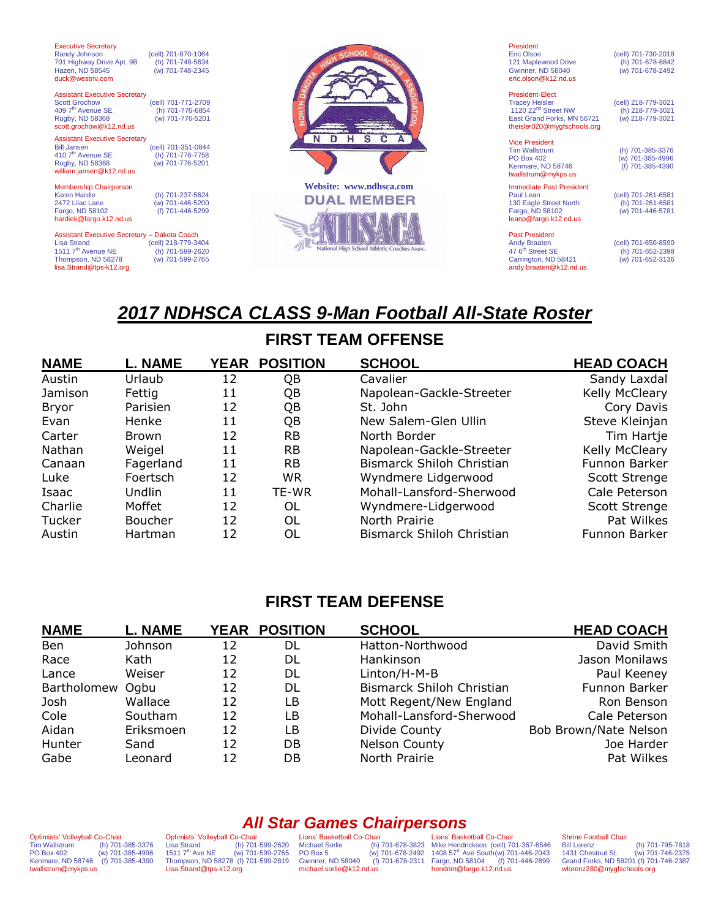| <b>Executive Secretary</b><br>Randy Johnson<br>701 Highway Drive Apt. 9B<br>Hazen, ND 58545<br>duck@westriv.com                                       | (cell) 701-870-1064<br>(h) 701-748-5634<br>(w) 701-748-2345 |                                               | President<br><b>Eric Olson</b><br>121 Maplewood Drive<br><b>Gwinner, ND 58040</b><br>eric.olson@k12.nd.us                                       | (cell) 701-730-2018<br>(h) 701-678-6842<br>(w) 701-678-2492 |
|-------------------------------------------------------------------------------------------------------------------------------------------------------|-------------------------------------------------------------|-----------------------------------------------|-------------------------------------------------------------------------------------------------------------------------------------------------|-------------------------------------------------------------|
| <b>Assistant Executive Secretary</b><br><b>Scott Grochow</b><br>409 7 <sup>th</sup> Avenue SE<br>Rugby, ND 58368<br>scott.grochow@k12.nd.us           | (cell) 701-771-2709<br>(h) 701-776-6854<br>(w) 701-776-5201 |                                               | <b>President-Elect</b><br><b>Tracey Heisler</b><br>1120 22 <sup>nd</sup> Street NW<br>East Grand Forks, MN 56721<br>theisler020@mygfschools.org | (cell) 218-779-3021<br>(h) 218-779-3021<br>(w) 218-779-3021 |
| <b>Assistant Executive Secretary</b><br><b>Bill Jansen</b><br>410 7 <sup>th</sup> Avenue SE<br>Rugby, ND 58368<br>william.jansen@k12.nd.us            | (cell) 701-351-0844<br>(h) 701-776-7758<br>(w) 701-776-5201 | $\mathbf{s}$<br>н<br>C<br>N<br>D              | <b>Vice President</b><br><b>Tim Wallstrum</b><br><b>PO Box 402</b><br>Kenmare, ND 58746<br>twallstrum@mykps.us                                  | (h) 701-385-3376<br>(w) 701-385-4996<br>(f) 701-385-4390    |
| Membership Chairperson<br><b>Karen Hardie</b><br>2472 Lilac Lane<br>Fargo, ND 58102<br>hardiek@fargo.k12.nd.us                                        | (h) 701-237-5624<br>(w) 701-446-5200<br>(f) 701-446-5299    | Website: www.ndhsca.com<br><b>DUAL MEMBER</b> | <b>Immediate Past President</b><br>Paul Lean<br>130 Eagle Street North<br>Fargo, ND 58102<br>leanp@fargo.k12.nd.us                              | (cell) 701-261-6581<br>(h) 701-261-6581<br>(w) 701-446-5781 |
| Assistant Executive Secretary - Dakota Coach<br><b>Lisa Strand</b><br>1511 7 <sup>th</sup> Avenue NE<br>Thompson, ND 58278<br>lisa.Strand@tps-k12.org | (cell) 218-779-3404<br>(h) 701-599-2620<br>(w) 701-599-2765 | High School Athletic Coaches Assoc.           | <b>Past President</b><br><b>Andy Braaten</b><br>47 6 <sup>th</sup> Street SE<br>Carrington, ND 58421<br>andy.braaten@k12.nd.us                  | (cell) 701-650-8590<br>(h) 701-652-2398<br>(w) 701-652-3136 |

# *2017 NDHSCA CLASS 9-Man Football All-State Roster*

## **FIRST TEAM OFFENSE**

| <b>NAME</b>  | <b>L. NAME</b> |    | YEAR POSITION | <b>SCHOOL</b>             | <b>HEAD COACH</b> |
|--------------|----------------|----|---------------|---------------------------|-------------------|
| Austin       | Urlaub         | 12 | QB            | Cavalier                  | Sandy Laxdal      |
| Jamison      | Fettig         | 11 | QB            | Napolean-Gackle-Streeter  | Kelly McCleary    |
| <b>Bryor</b> | Parisien       | 12 | QB            | St. John                  | Cory Davis        |
| Evan         | Henke          | 11 | QB            | New Salem-Glen Ullin      | Steve Kleinjan    |
| Carter       | <b>Brown</b>   | 12 | <b>RB</b>     | North Border              | Tim Hartje        |
| Nathan       | Weigel         | 11 | <b>RB</b>     | Napolean-Gackle-Streeter  | Kelly McCleary    |
| Canaan       | Fagerland      | 11 | <b>RB</b>     | Bismarck Shiloh Christian | Funnon Barker     |
| Luke         | Foertsch       | 12 | <b>WR</b>     | Wyndmere Lidgerwood       | Scott Strenge     |
| Isaac        | Undlin         | 11 | TE-WR         | Mohall-Lansford-Sherwood  | Cale Peterson     |
| Charlie      | Moffet         | 12 | OL            | Wyndmere-Lidgerwood       | Scott Strenge     |
| Tucker       | <b>Boucher</b> | 12 | OL            | North Prairie             | Pat Wilkes        |
| Austin       | Hartman        | 12 | OL            | Bismarck Shiloh Christian | Funnon Barker     |

### **FIRST TEAM DEFENSE**

| <b>NAME</b>      | <b>L. NAME</b> |    | YEAR POSITION | <b>SCHOOL</b>             | <b>HEAD COACH</b>     |
|------------------|----------------|----|---------------|---------------------------|-----------------------|
| Ben              | Johnson        | 12 | DL            | Hatton-Northwood          | David Smith           |
| Race             | Kath           | 12 | DL            | Hankinson                 | Jason Monilaws        |
| Lance            | Weiser         | 12 | DL            | Linton/H-M-B              | Paul Keeney           |
| Bartholomew Ogbu |                | 12 | DL            | Bismarck Shiloh Christian | Funnon Barker         |
| Josh             | Wallace        | 12 | LВ            | Mott Regent/New England   | Ron Benson            |
| Cole             | Southam        | 12 | LВ            | Mohall-Lansford-Sherwood  | Cale Peterson         |
| Aidan            | Eriksmoen      | 12 | LВ            | Divide County             | Bob Brown/Nate Nelson |
| Hunter           | Sand           | 12 | DB            | <b>Nelson County</b>      | Joe Harder            |
| Gabe             | Leonard        | 12 | DB            | North Prairie             | Pat Wilkes            |

Optimists' Volleyball Co-Chair Tim Wallstrum (h) 701-385-3376 PO Box 402 (w) 701-385-4996 Kenmare, ND 58746 (f) 701-385-4390 twallstrum@mykps.us

Optimists' Volleyball Co-Chair Lisa Strand (h) 701-599-2620 1511 7th Ave NE (w) 701-599-2765 Thompson, ND 58278 (f) 701-599-2819 [Lisa.Strand@tps-k12.org](mailto:Lisa.Strand@tps-k12.org)

*All Star Games Chairpersons* Lions' Basketball Co-Chair Michael Sorlie (h) 701-678-3823 PO Box 5 (w) 701-678-2492 Gwinner, ND 58040 (f) 701-678-2311 michael.sorlie@k12.nd.us

Lions' Basketball Co-Chair Mike Hendrickson (cell) 701-367-6546<br>1408 57<sup>th</sup> Ave South(w) 701-446-2043<br>Fargo, ND 58104 (f) 701-446-2899 hendrim@fargo.k12.nd.us

Shrine Football Chair<br>Bill Lorenz<br>1431 Chestnut St. (h) 701-795-7818 1431 Chestnut St. (w) 701-746-2375 Grand Forks, ND 58201 (f) 701-746-2387 wlorenz280@mygfschools.org